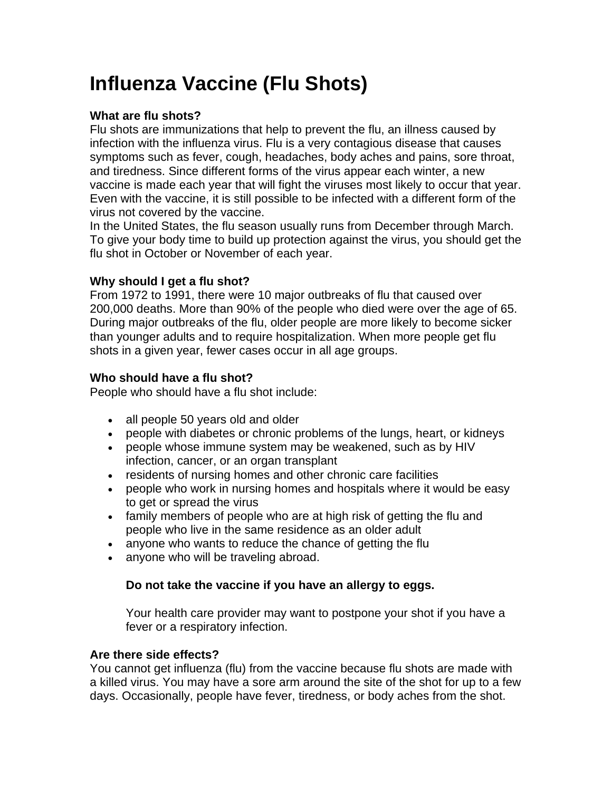# **Influenza Vaccine (Flu Shots)**

#### **What are flu shots?**

Flu shots are immunizations that help to prevent the flu, an illness caused by infection with the influenza virus. Flu is a very contagious disease that causes symptoms such as fever, cough, headaches, body aches and pains, sore throat, and tiredness. Since different forms of the virus appear each winter, a new vaccine is made each year that will fight the viruses most likely to occur that year. Even with the vaccine, it is still possible to be infected with a different form of the virus not covered by the vaccine.

In the United States, the flu season usually runs from December through March. To give your body time to build up protection against the virus, you should get the flu shot in October or November of each year.

## **Why should I get a flu shot?**

From 1972 to 1991, there were 10 major outbreaks of flu that caused over 200,000 deaths. More than 90% of the people who died were over the age of 65. During major outbreaks of the flu, older people are more likely to become sicker than younger adults and to require hospitalization. When more people get flu shots in a given year, fewer cases occur in all age groups.

## **Who should have a flu shot?**

People who should have a flu shot include:

- all people 50 years old and older
- people with diabetes or chronic problems of the lungs, heart, or kidneys
- people whose immune system may be weakened, such as by HIV infection, cancer, or an organ transplant
- residents of nursing homes and other chronic care facilities
- people who work in nursing homes and hospitals where it would be easy to get or spread the virus
- family members of people who are at high risk of getting the flu and people who live in the same residence as an older adult
- anyone who wants to reduce the chance of getting the flu
- anyone who will be traveling abroad.

## **Do not take the vaccine if you have an allergy to eggs.**

Your health care provider may want to postpone your shot if you have a fever or a respiratory infection.

#### **Are there side effects?**

You cannot get influenza (flu) from the vaccine because flu shots are made with a killed virus. You may have a sore arm around the site of the shot for up to a few days. Occasionally, people have fever, tiredness, or body aches from the shot.